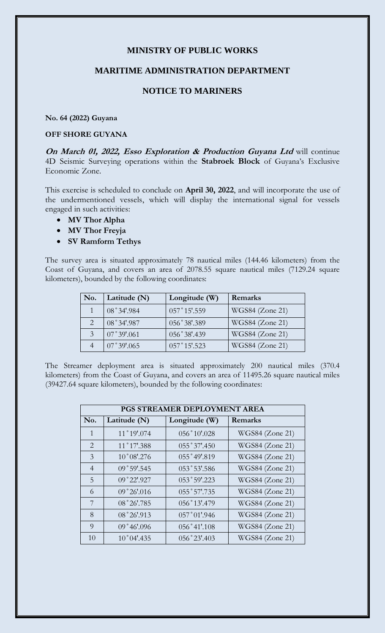## **MINISTRY OF PUBLIC WORKS**

## **MARITIME ADMINISTRATION DEPARTMENT**

## **NOTICE TO MARINERS**

**No. 64 (2022) Guyana**

## **OFF SHORE GUYANA**

**On March 01, 2022, Esso Exploration & Production Guyana Ltd** will continue 4D Seismic Surveying operations within the **Stabroek Block** of Guyana's Exclusive Economic Zone.

This exercise is scheduled to conclude on **April 30, 2022**, and will incorporate the use of the undermentioned vessels, which will display the international signal for vessels engaged in such activities:

- **MV Thor Alpha**
- **MV Thor Freyja**
- **SV Ramform Tethys**

The survey area is situated approximately 78 nautical miles (144.46 kilometers) from the Coast of Guyana, and covers an area of 2078.55 square nautical miles (7129.24 square kilometers), bounded by the following coordinates:

| No. | Latitude (N)       | Longitude (W)  | Remarks         |
|-----|--------------------|----------------|-----------------|
|     | 08°34'.984         | $057°15'$ .559 | WGS84 (Zone 21) |
|     | 08°34'.987         | 056°38'.389    | WGS84 (Zone 21) |
|     | $07^{\circ}39'061$ | 056°38'.439    | WGS84 (Zone 21) |
|     | 07°39'.065         | $057°15'$ .523 | WGS84 (Zone 21) |

The Streamer deployment area is situated approximately 200 nautical miles (370.4 kilometers) from the Coast of Guyana, and covers an area of 11495.26 square nautical miles (39427.64 square kilometers), bounded by the following coordinates:

| PGS STREAMER DEPLOYMENT AREA |                      |                |                        |  |
|------------------------------|----------------------|----------------|------------------------|--|
| No.                          | Latitude (N)         | Longitude (W)  | Remarks                |  |
| $\mathbf{1}$                 | 11°19'.074           | 056°10'.028    | WGS84 (Zone 21)        |  |
| 2                            | 11°17'.388           | 055°37'.450    | <b>WGS84</b> (Zone 21) |  |
| 3                            | $10^{\circ}08'$ .276 | 055°49'.819    | WGS84 (Zone 21)        |  |
| $\overline{4}$               | 09°59'.545           | 053°53'.586    | WGS84 (Zone 21)        |  |
| 5                            | 09°22'.927           | 053°59'.223    | WGS84 (Zone 21)        |  |
| 6                            | 09°26'016            | 055°57'.735    | WGS84 (Zone 21)        |  |
| 7                            | 08°26'.785           | 056°13'.479    | WGS84 (Zone 21)        |  |
| 8                            | 08°26'.913           | $057°01'$ .946 | WGS84 (Zone 21)        |  |
| 9                            | 09°46'096            | $056°41'$ .108 | WGS84 (Zone 21)        |  |
| 10                           | $10^{\circ}04'$ .435 | 056°23'.403    | WGS84 (Zone 21)        |  |